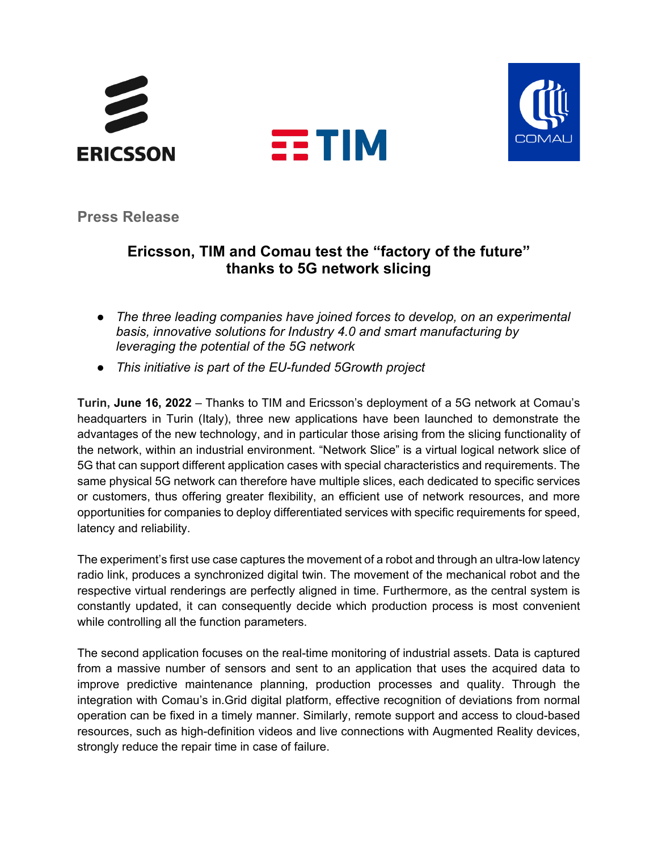





**Press Release**

# **Ericsson, TIM and Comau test the "factory of the future" thanks to 5G network slicing**

- *The three leading companies have joined forces to develop, on an experimental basis, innovative solutions for Industry 4.0 and smart manufacturing by leveraging the potential of the 5G network*
- *This initiative is part of the EU-funded 5Growth project*

**Turin, June 16, 2022** – Thanks to TIM and Ericsson's deployment of a 5G network at Comau's headquarters in Turin (Italy), three new applications have been launched to demonstrate the advantages of the new technology, and in particular those arising from the slicing functionality of the network, within an industrial environment. "Network Slice" is a virtual logical network slice of 5G that can support different application cases with special characteristics and requirements. The same physical 5G network can therefore have multiple slices, each dedicated to specific services or customers, thus offering greater flexibility, an efficient use of network resources, and more opportunities for companies to deploy differentiated services with specific requirements for speed, latency and reliability.

The experiment's first use case captures the movement of a robot and through an ultra-low latency radio link, produces a synchronized digital twin. The movement of the mechanical robot and the respective virtual renderings are perfectly aligned in time. Furthermore, as the central system is constantly updated, it can consequently decide which production process is most convenient while controlling all the function parameters.

The second application focuses on the real-time monitoring of industrial assets. Data is captured from a massive number of sensors and sent to an application that uses the acquired data to improve predictive maintenance planning, production processes and quality. Through the integration with Comau's in.Grid digital platform, effective recognition of deviations from normal operation can be fixed in a timely manner. Similarly, remote support and access to cloud-based resources, such as high-definition videos and live connections with Augmented Reality devices, strongly reduce the repair time in case of failure.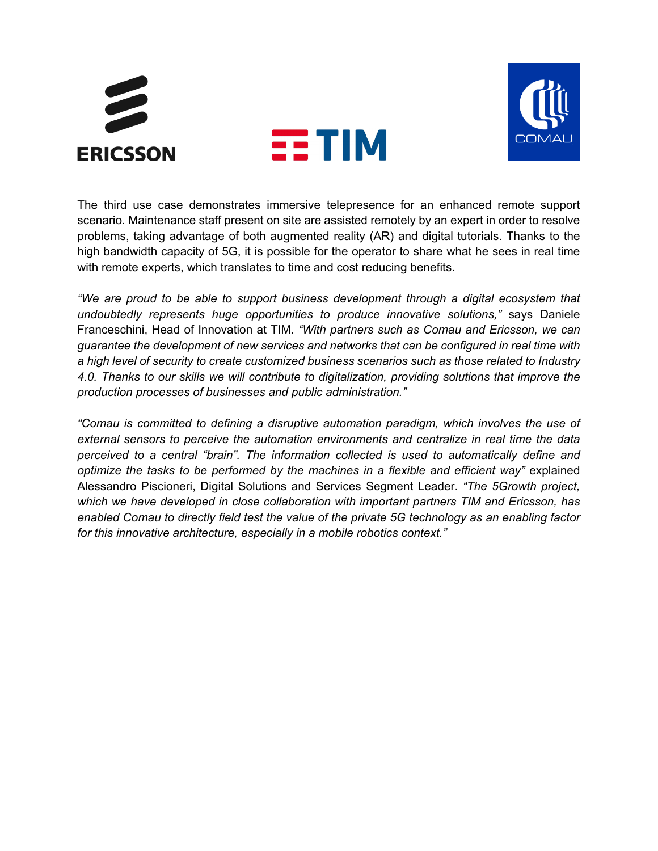



The third use case demonstrates immersive telepresence for an enhanced remote support scenario. Maintenance staff present on site are assisted remotely by an expert in order to resolve problems, taking advantage of both augmented reality (AR) and digital tutorials. Thanks to the high bandwidth capacity of 5G, it is possible for the operator to share what he sees in real time with remote experts, which translates to time and cost reducing benefits.

*"We are proud to be able to support business development through a digital ecosystem that undoubtedly represents huge opportunities to produce innovative solutions,"* says Daniele Franceschini, Head of Innovation at TIM. *"With partners such as Comau and Ericsson, we can guarantee the development of new services and networks that can be configured in real time with a high level of security to create customized business scenarios such as those related to Industry 4.0. Thanks to our skills we will contribute to digitalization, providing solutions that improve the production processes of businesses and public administration."*

*"Comau is committed to defining a disruptive automation paradigm, which involves the use of external sensors to perceive the automation environments and centralize in real time the data perceived to a central "brain". The information collected is used to automatically define and optimize the tasks to be performed by the machines in a flexible and efficient way"* explained Alessandro Piscioneri, Digital Solutions and Services Segment Leader. *"The 5Growth project, which we have developed in close collaboration with important partners TIM and Ericsson, has enabled Comau to directly field test the value of the private 5G technology as an enabling factor for this innovative architecture, especially in a mobile robotics context."*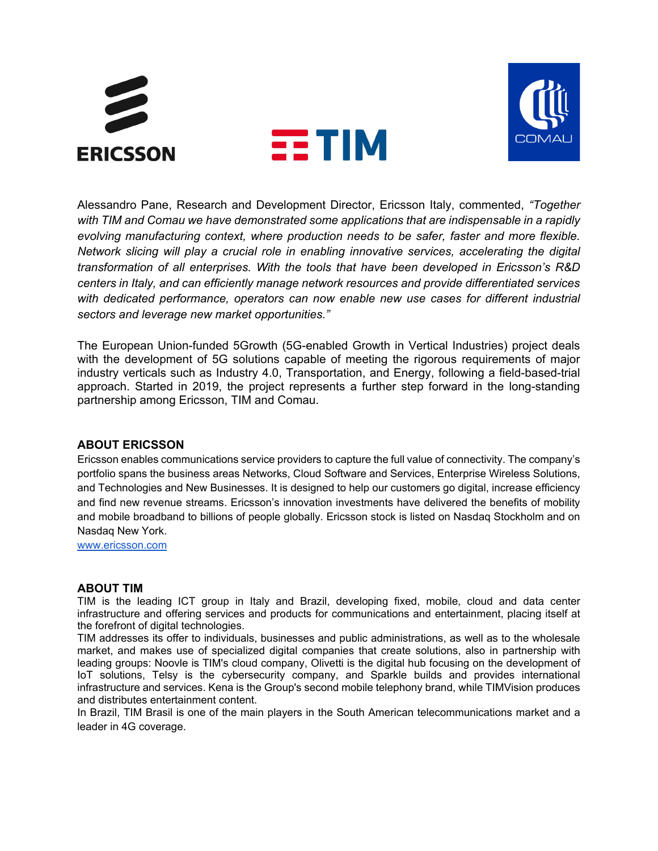



Alessandro Pane, Research and Development Director, Ericsson Italy, commented, *"Together with TIM and Comau we have demonstrated some applications that are indispensable in a rapidly evolving manufacturing context, where production needs to be safer, faster and more flexible. Network slicing will play a crucial role in enabling innovative services, accelerating the digital transformation of all enterprises. With the tools that have been developed in Ericsson's R&D centers in Italy, and can efficiently manage network resources and provide differentiated services with dedicated performance, operators can now enable new use cases for different industrial sectors and leverage new market opportunities."*

The European Union-funded 5Growth (5G-enabled Growth in Vertical Industries) project deals with the development of 5G solutions capable of meeting the rigorous requirements of major industry verticals such as Industry 4.0, Transportation, and Energy, following a field-based-trial approach. Started in 2019, the project represents a further step forward in the long-standing partnership among Ericsson, TIM and Comau.

### **ABOUT ERICSSON**

Ericsson enables communications service providers to capture the full value of connectivity. The company's portfolio spans the business areas Networks, Cloud Software and Services, Enterprise Wireless Solutions, and Technologies and New Businesses. It is designed to help our customers go digital, increase efficiency and find new revenue streams. Ericsson's innovation investments have delivered the benefits of mobility and mobile broadband to billions of people globally. Ericsson stock is listed on Nasdaq Stockholm and on Nasdaq New York.

[www.ericsson.com](http://www.ericsson.com/)

#### **ABOUT TIM**

TIM is the leading ICT group in Italy and Brazil, developing fixed, mobile, cloud and data center infrastructure and offering services and products for communications and entertainment, placing itself at the forefront of digital technologies.

TIM addresses its offer to individuals, businesses and public administrations, as well as to the wholesale market, and makes use of specialized digital companies that create solutions, also in partnership with leading groups: Noovle is TIM's cloud company, Olivetti is the digital hub focusing on the development of IoT solutions, Telsy is the cybersecurity company, and Sparkle builds and provides international infrastructure and services. Kena is the Group's second mobile telephony brand, while TIMVision produces and distributes entertainment content.

In Brazil, TIM Brasil is one of the main players in the South American telecommunications market and a leader in 4G coverage.